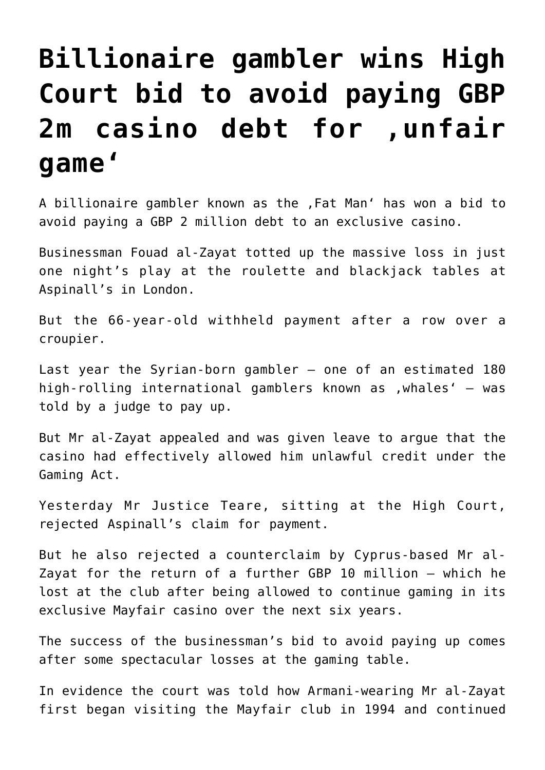## **[Billionaire gambler wins High](https://www.isa-guide.de/english-news/articles/22582.html) [Court bid to avoid paying GBP](https://www.isa-guide.de/english-news/articles/22582.html)** 2m casino debt for , unfair **[game'](https://www.isa-guide.de/english-news/articles/22582.html)**

A billionaire gambler known as the , Fat Man' has won a bid to avoid paying a GBP 2 million debt to an exclusive casino.

Businessman Fouad al-Zayat totted up the massive loss in just one night's play at the roulette and blackjack tables at Aspinall's in London.

But the 66-year-old withheld payment after a row over a croupier.

Last year the Syrian-born gambler – one of an estimated 180 high-rolling international gamblers known as , whales'  $-$  was told by a judge to pay up.

But Mr al-Zayat appealed and was given leave to argue that the casino had effectively allowed him unlawful credit under the Gaming Act.

Yesterday Mr Justice Teare, sitting at the High Court, rejected Aspinall's claim for payment.

But he also rejected a counterclaim by Cyprus-based Mr al-Zayat for the return of a further GBP 10 million – which he lost at the club after being allowed to continue gaming in its exclusive Mayfair casino over the next six years.

The success of the businessman's bid to avoid paying up comes after some spectacular losses at the gaming table.

In evidence the court was told how Armani-wearing Mr al-Zayat first began visiting the Mayfair club in 1994 and continued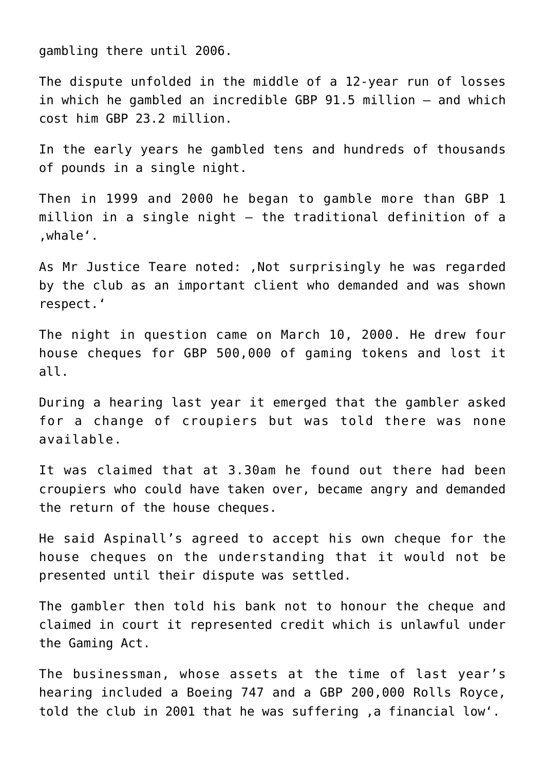gambling there until 2006.

The dispute unfolded in the middle of a 12-year run of losses in which he gambled an incredible GBP 91.5 million – and which cost him GBP 23.2 million.

In the early years he gambled tens and hundreds of thousands of pounds in a single night.

Then in 1999 and 2000 he began to gamble more than GBP 1 million in a single night – the traditional definition of a 'whale'.

As Mr Justice Teare noted: .Not surprisingly he was regarded by the club as an important client who demanded and was shown respect.'

The night in question came on March 10, 2000. He drew four house cheques for GBP 500,000 of gaming tokens and lost it all.

During a hearing last year it emerged that the gambler asked for a change of croupiers but was told there was none available.

It was claimed that at 3.30am he found out there had been croupiers who could have taken over, became angry and demanded the return of the house cheques.

He said Aspinall's agreed to accept his own cheque for the house cheques on the understanding that it would not be presented until their dispute was settled.

The gambler then told his bank not to honour the cheque and claimed in court it represented credit which is unlawful under the Gaming Act.

The businessman, whose assets at the time of last year's hearing included a Boeing 747 and a GBP 200,000 Rolls Royce, told the club in 2001 that he was suffering , a financial low'.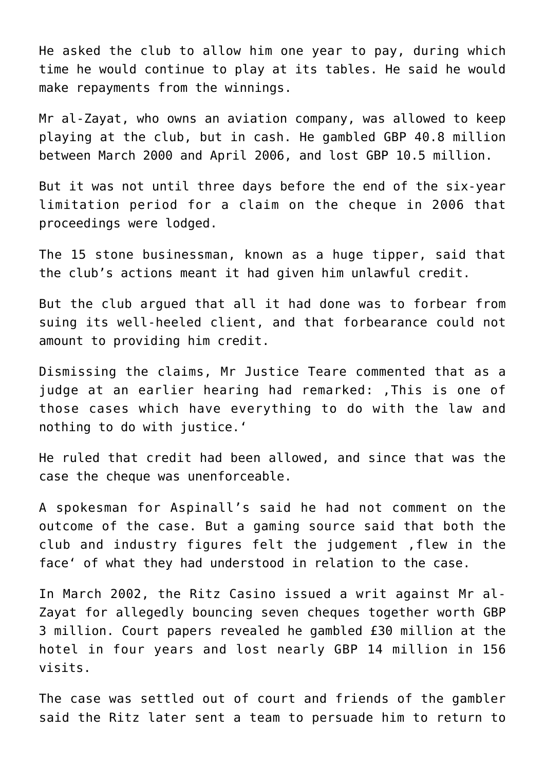He asked the club to allow him one year to pay, during which time he would continue to play at its tables. He said he would make repayments from the winnings.

Mr al-Zayat, who owns an aviation company, was allowed to keep playing at the club, but in cash. He gambled GBP 40.8 million between March 2000 and April 2006, and lost GBP 10.5 million.

But it was not until three days before the end of the six-year limitation period for a claim on the cheque in 2006 that proceedings were lodged.

The 15 stone businessman, known as a huge tipper, said that the club's actions meant it had given him unlawful credit.

But the club argued that all it had done was to forbear from suing its well-heeled client, and that forbearance could not amount to providing him credit.

Dismissing the claims, Mr Justice Teare commented that as a judge at an earlier hearing had remarked: , This is one of those cases which have everything to do with the law and nothing to do with justice.'

He ruled that credit had been allowed, and since that was the case the cheque was unenforceable.

A spokesman for Aspinall's said he had not comment on the outcome of the case. But a gaming source said that both the club and industry figures felt the judgement, flew in the face' of what they had understood in relation to the case.

In March 2002, the Ritz Casino issued a writ against Mr al-Zayat for allegedly bouncing seven cheques together worth GBP 3 million. Court papers revealed he gambled £30 million at the hotel in four years and lost nearly GBP 14 million in 156 visits.

The case was settled out of court and friends of the gambler said the Ritz later sent a team to persuade him to return to